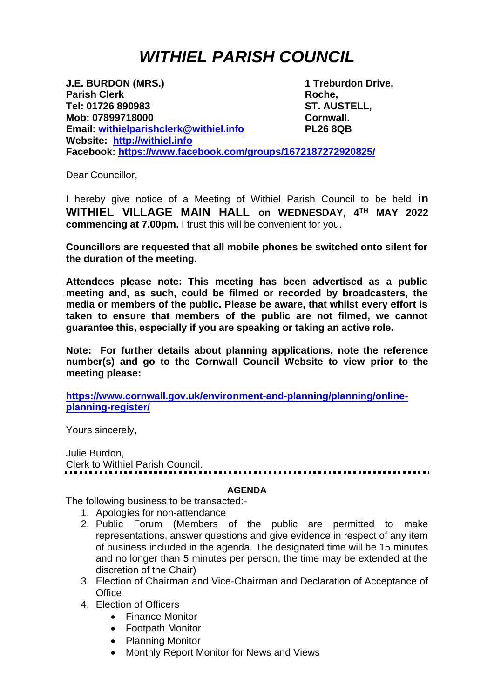## *WITHIEL PARISH COUNCIL*

**J.E. BURDON (MRS.) 1 Treburdon Drive, Parish Clerk Roche, Tel: 01726 890983 ST. AUSTELL, Mob: 07899718000 Cornwall. Email: [withielparishclerk@withiel.info](mailto:withielparishclerk@withiel.info) PL26 8QB Website: [http://withiel.info](http://withiel.info/) Facebook:<https://www.facebook.com/groups/1672187272920825/>**

Dear Councillor,

I hereby give notice of a Meeting of Withiel Parish Council to be held **in WITHIEL VILLAGE MAIN HALL on WEDNESDAY, 4 TH MAY 2022 commencing at 7.00pm.** I trust this will be convenient for you.

**Councillors are requested that all mobile phones be switched onto silent for the duration of the meeting.** 

**Attendees please note: This meeting has been advertised as a public meeting and, as such, could be filmed or recorded by broadcasters, the media or members of the public. Please be aware, that whilst every effort is taken to ensure that members of the public are not filmed, we cannot guarantee this, especially if you are speaking or taking an active role.**

**Note: For further details about planning applications, note the reference number(s) and go to the Cornwall Council Website to view prior to the meeting please:**

**[https://www.cornwall.gov.uk/environment-and-planning/planning/online](https://www.cornwall.gov.uk/environment-and-planning/planning/online-planning-register/)[planning-register/](https://www.cornwall.gov.uk/environment-and-planning/planning/online-planning-register/)**

Yours sincerely,

Julie Burdon, Clerk to Withiel Parish Council.

## **AGENDA**

The following business to be transacted:-

- 1. Apologies for non-attendance
- 2. Public Forum (Members of the public are permitted to make representations, answer questions and give evidence in respect of any item of business included in the agenda. The designated time will be 15 minutes and no longer than 5 minutes per person, the time may be extended at the discretion of the Chair)
- 3. Election of Chairman and Vice-Chairman and Declaration of Acceptance of **Office**
- 4. Election of Officers
	- Finance Monitor
	- Footpath Monitor
	- Planning Monitor
	- Monthly Report Monitor for News and Views